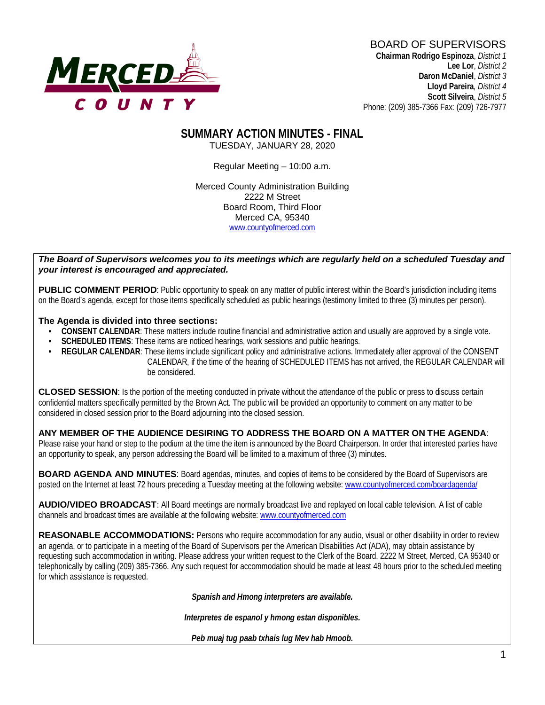

**Lee Lor**, *District 2*  **Daron McDaniel**, *District 3* **Lloyd Pareira***, District 4*  **Scott Silveira**, *District 5* Phone: (209) 385-7366 Fax: (209) 726-7977

#### **SUMMARY ACTION MINUTES - FINAL** TUESDAY, JANUARY 28, 2020

Regular Meeting – 10:00 a.m.

Merced County Administration Building 2222 M Street Board Room, Third Floor Merced CA, 95340 www.countyofmerced.com

#### *The Board of Supervisors welcomes you to its meetings which are regularly held on a scheduled Tuesday and your interest is encouraged and appreciated.*

**PUBLIC COMMENT PERIOD**: Public opportunity to speak on any matter of public interest within the Board's jurisdiction including items on the Board's agenda, except for those items specifically scheduled as public hearings (testimony limited to three (3) minutes per person).

#### **The Agenda is divided into three sections:**

- **CONSENT CALENDAR**: These matters include routine financial and administrative action and usually are approved by a single vote.
- **SCHEDULED ITEMS:** These items are noticed hearings, work sessions and public hearings.
- **REGULAR CALENDAR**: These items include significant policy and administrative actions. Immediately after approval of the CONSENT CALENDAR, if the time of the hearing of SCHEDULED ITEMS has not arrived, the REGULAR CALENDAR will be considered.

**CLOSED SESSION**: Is the portion of the meeting conducted in private without the attendance of the public or press to discuss certain confidential matters specifically permitted by the Brown Act. The public will be provided an opportunity to comment on any matter to be considered in closed session prior to the Board adjourning into the closed session.

#### **ANY MEMBER OF THE AUDIENCE DESIRING TO ADDRESS THE BOARD ON A MATTER ON THE AGENDA**:

Please raise your hand or step to the podium at the time the item is announced by the Board Chairperson. In order that interested parties have an opportunity to speak, any person addressing the Board will be limited to a maximum of three (3) minutes.

**BOARD AGENDA AND MINUTES:** Board agendas, minutes, and copies of items to be considered by the Board of Supervisors are posted on the Internet at least 72 hours preceding a Tuesday meeting at the following website: [www.countyofmerced.com/boardagenda/](http://www.countyofmerced.com/boardagenda/) 

**AUDIO/VIDEO BROADCAST**: All Board meetings are normally broadcast live and replayed on local cable television. A list of cable channels and broadcast times are available at the following website[: www.countyofmerced.com](http://www.countyofmerced.com/)

**REASONABLE ACCOMMODATIONS:** Persons who require accommodation for any audio, visual or other disability in order to review an agenda, or to participate in a meeting of the Board of Supervisors per the American Disabilities Act (ADA), may obtain assistance by requesting such accommodation in writing. Please address your written request to the Clerk of the Board, 2222 M Street, Merced, CA 95340 or telephonically by calling (209) 385-7366. Any such request for accommodation should be made at least 48 hours prior to the scheduled meeting for which assistance is requested.

*Spanish and Hmong interpreters are available.*

*Interpretes de espanol y hmong estan disponibles.*

*Peb muaj tug paab txhais lug Mev hab Hmoob.*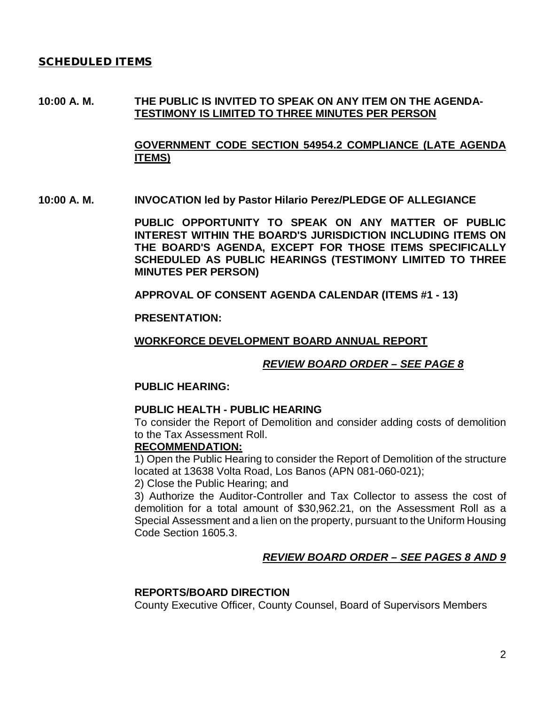#### SCHEDULED ITEMS

### **10:00 A. M. THE PUBLIC IS INVITED TO SPEAK ON ANY ITEM ON THE AGENDA-TESTIMONY IS LIMITED TO THREE MINUTES PER PERSON**

**GOVERNMENT CODE SECTION 54954.2 COMPLIANCE (LATE AGENDA ITEMS)**

**10:00 A. M. INVOCATION led by Pastor Hilario Perez/PLEDGE OF ALLEGIANCE**

**PUBLIC OPPORTUNITY TO SPEAK ON ANY MATTER OF PUBLIC INTEREST WITHIN THE BOARD'S JURISDICTION INCLUDING ITEMS ON THE BOARD'S AGENDA, EXCEPT FOR THOSE ITEMS SPECIFICALLY SCHEDULED AS PUBLIC HEARINGS (TESTIMONY LIMITED TO THREE MINUTES PER PERSON)**

**APPROVAL OF CONSENT AGENDA CALENDAR (ITEMS #1 - 13)**

**PRESENTATION:**

**WORKFORCE DEVELOPMENT BOARD ANNUAL REPORT**

*REVIEW BOARD ORDER – SEE PAGE 8*

#### **PUBLIC HEARING:**

#### **PUBLIC HEALTH - PUBLIC HEARING**

To consider the Report of Demolition and consider adding costs of demolition to the Tax Assessment Roll.

#### **RECOMMENDATION:**

1) Open the Public Hearing to consider the Report of Demolition of the structure located at 13638 Volta Road, Los Banos (APN 081-060-021);

2) Close the Public Hearing; and

3) Authorize the Auditor-Controller and Tax Collector to assess the cost of demolition for a total amount of \$30,962.21, on the Assessment Roll as a Special Assessment and a lien on the property, pursuant to the Uniform Housing Code Section 1605.3.

### *REVIEW BOARD ORDER – SEE PAGES 8 AND 9*

#### **REPORTS/BOARD DIRECTION**

County Executive Officer, County Counsel, Board of Supervisors Members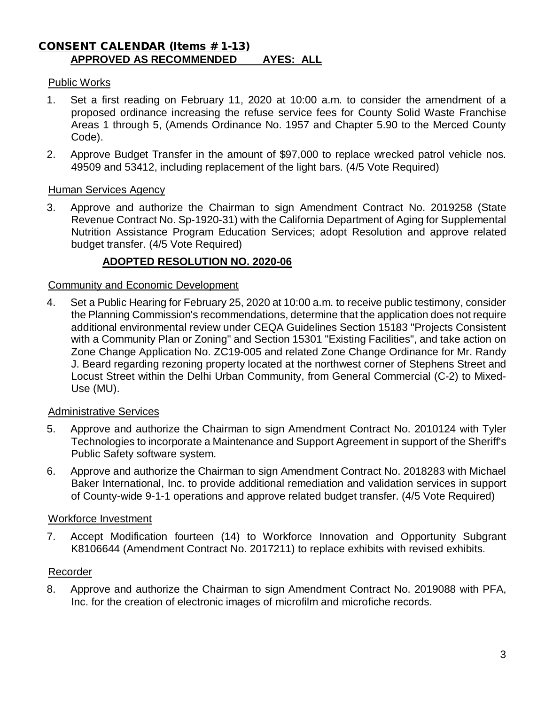### CONSENT CALENDAR (Items # 1-13) **APPROVED AS RECOMMENDED AYES: ALL**

### Public Works

- 1. Set a first reading on February 11, 2020 at 10:00 a.m. to consider the amendment of a proposed ordinance increasing the refuse service fees for County Solid Waste Franchise Areas 1 through 5, (Amends Ordinance No. 1957 and Chapter 5.90 to the Merced County Code).
- 2. Approve Budget Transfer in the amount of \$97,000 to replace wrecked patrol vehicle nos. 49509 and 53412, including replacement of the light bars. (4/5 Vote Required)

#### Human Services Agency

3. Approve and authorize the Chairman to sign Amendment Contract No. 2019258 (State Revenue Contract No. Sp-1920-31) with the California Department of Aging for Supplemental Nutrition Assistance Program Education Services; adopt Resolution and approve related budget transfer. (4/5 Vote Required)

### **ADOPTED RESOLUTION NO. 2020-06**

#### Community and Economic Development

4. Set a Public Hearing for February 25, 2020 at 10:00 a.m. to receive public testimony, consider the Planning Commission's recommendations, determine that the application does not require additional environmental review under CEQA Guidelines Section 15183 "Projects Consistent with a Community Plan or Zoning" and Section 15301 "Existing Facilities", and take action on Zone Change Application No. ZC19-005 and related Zone Change Ordinance for Mr. Randy J. Beard regarding rezoning property located at the northwest corner of Stephens Street and Locust Street within the Delhi Urban Community, from General Commercial (C-2) to Mixed-Use (MU).

#### Administrative Services

- 5. Approve and authorize the Chairman to sign Amendment Contract No. 2010124 with Tyler Technologies to incorporate a Maintenance and Support Agreement in support of the Sheriff's Public Safety software system.
- 6. Approve and authorize the Chairman to sign Amendment Contract No. 2018283 with Michael Baker International, Inc. to provide additional remediation and validation services in support of County-wide 9-1-1 operations and approve related budget transfer. (4/5 Vote Required)

#### Workforce Investment

7. Accept Modification fourteen (14) to Workforce Innovation and Opportunity Subgrant K8106644 (Amendment Contract No. 2017211) to replace exhibits with revised exhibits.

### Recorder

8. Approve and authorize the Chairman to sign Amendment Contract No. 2019088 with PFA, Inc. for the creation of electronic images of microfilm and microfiche records.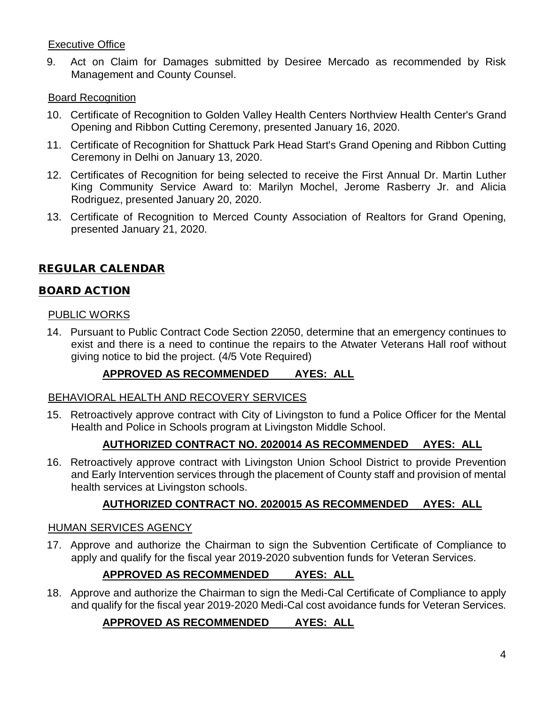### Executive Office

9. Act on Claim for Damages submitted by Desiree Mercado as recommended by Risk Management and County Counsel.

### Board Recognition

- 10. Certificate of Recognition to Golden Valley Health Centers Northview Health Center's Grand Opening and Ribbon Cutting Ceremony, presented January 16, 2020.
- 11. Certificate of Recognition for Shattuck Park Head Start's Grand Opening and Ribbon Cutting Ceremony in Delhi on January 13, 2020.
- 12. Certificates of Recognition for being selected to receive the First Annual Dr. Martin Luther King Community Service Award to: Marilyn Mochel, Jerome Rasberry Jr. and Alicia Rodriguez, presented January 20, 2020.
- 13. Certificate of Recognition to Merced County Association of Realtors for Grand Opening, presented January 21, 2020.

# REGULAR CALENDAR

### BOARD ACTION

### PUBLIC WORKS

14. Pursuant to Public Contract Code Section 22050, determine that an emergency continues to exist and there is a need to continue the repairs to the Atwater Veterans Hall roof without giving notice to bid the project. (4/5 Vote Required)

### **APPROVED AS RECOMMENDED AYES: ALL**

### BEHAVIORAL HEALTH AND RECOVERY SERVICES

15. Retroactively approve contract with City of Livingston to fund a Police Officer for the Mental Health and Police in Schools program at Livingston Middle School.

# **AUTHORIZED CONTRACT NO. 2020014 AS RECOMMENDED AYES: ALL**

16. Retroactively approve contract with Livingston Union School District to provide Prevention and Early Intervention services through the placement of County staff and provision of mental health services at Livingston schools.

### **AUTHORIZED CONTRACT NO. 2020015 AS RECOMMENDED AYES: ALL**

### HUMAN SERVICES AGENCY

17. Approve and authorize the Chairman to sign the Subvention Certificate of Compliance to apply and qualify for the fiscal year 2019-2020 subvention funds for Veteran Services.

# **APPROVED AS RECOMMENDED AYES: ALL**

18. Approve and authorize the Chairman to sign the Medi-Cal Certificate of Compliance to apply and qualify for the fiscal year 2019-2020 Medi-Cal cost avoidance funds for Veteran Services.

### **APPROVED AS RECOMMENDED AYES: ALL**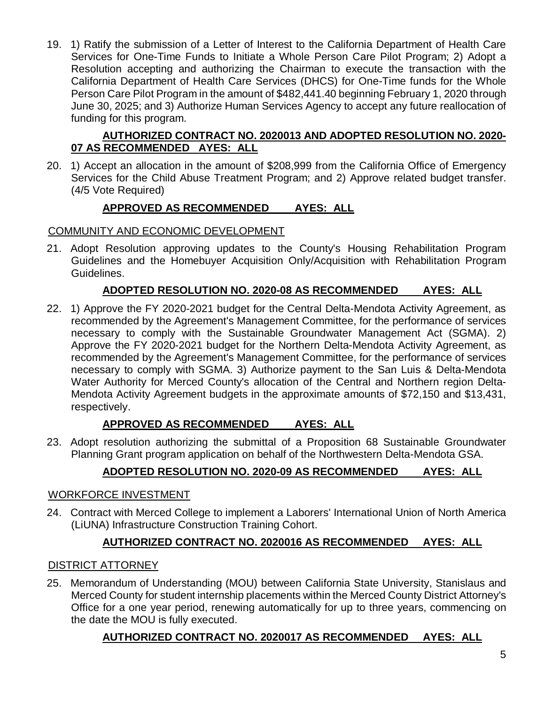19. 1) Ratify the submission of a Letter of Interest to the California Department of Health Care Services for One-Time Funds to Initiate a Whole Person Care Pilot Program; 2) Adopt a Resolution accepting and authorizing the Chairman to execute the transaction with the California Department of Health Care Services (DHCS) for One-Time funds for the Whole Person Care Pilot Program in the amount of \$482,441.40 beginning February 1, 2020 through June 30, 2025; and 3) Authorize Human Services Agency to accept any future reallocation of funding for this program.

### **AUTHORIZED CONTRACT NO. 2020013 AND ADOPTED RESOLUTION NO. 2020- 07 AS RECOMMENDED AYES: ALL**

20. 1) Accept an allocation in the amount of \$208,999 from the California Office of Emergency Services for the Child Abuse Treatment Program; and 2) Approve related budget transfer. (4/5 Vote Required)

# **APPROVED AS RECOMMENDED AYES: ALL**

# COMMUNITY AND ECONOMIC DEVELOPMENT

21. Adopt Resolution approving updates to the County's Housing Rehabilitation Program Guidelines and the Homebuyer Acquisition Only/Acquisition with Rehabilitation Program Guidelines.

# **ADOPTED RESOLUTION NO. 2020-08 AS RECOMMENDED AYES: ALL**

22. 1) Approve the FY 2020-2021 budget for the Central Delta-Mendota Activity Agreement, as recommended by the Agreement's Management Committee, for the performance of services necessary to comply with the Sustainable Groundwater Management Act (SGMA). 2) Approve the FY 2020-2021 budget for the Northern Delta-Mendota Activity Agreement, as recommended by the Agreement's Management Committee, for the performance of services necessary to comply with SGMA. 3) Authorize payment to the San Luis & Delta-Mendota Water Authority for Merced County's allocation of the Central and Northern region Delta-Mendota Activity Agreement budgets in the approximate amounts of \$72,150 and \$13,431, respectively.

# **APPROVED AS RECOMMENDED AYES: ALL**

23. Adopt resolution authorizing the submittal of a Proposition 68 Sustainable Groundwater Planning Grant program application on behalf of the Northwestern Delta-Mendota GSA.

# **ADOPTED RESOLUTION NO. 2020-09 AS RECOMMENDED AYES: ALL**

### WORKFORCE INVESTMENT

24. Contract with Merced College to implement a Laborers' International Union of North America (LiUNA) Infrastructure Construction Training Cohort.

# **AUTHORIZED CONTRACT NO. 2020016 AS RECOMMENDED AYES: ALL**

### DISTRICT ATTORNEY

25. Memorandum of Understanding (MOU) between California State University, Stanislaus and Merced County for student internship placements within the Merced County District Attorney's Office for a one year period, renewing automatically for up to three years, commencing on the date the MOU is fully executed.

# **AUTHORIZED CONTRACT NO. 2020017 AS RECOMMENDED AYES: ALL**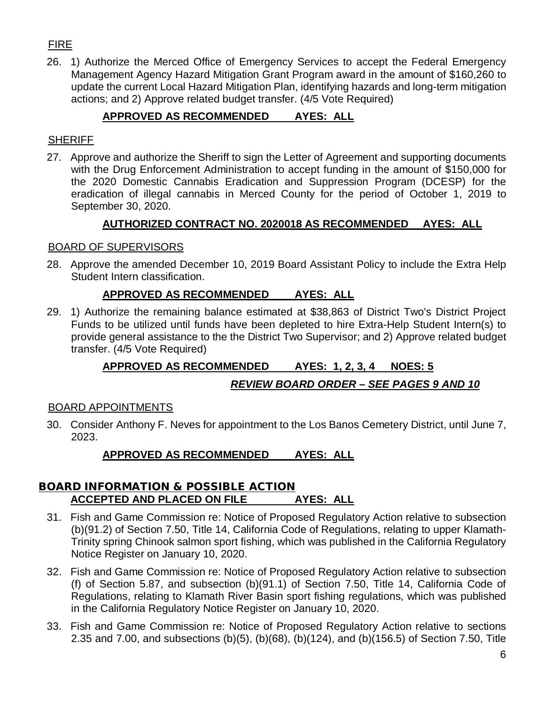# FIRE

26. 1) Authorize the Merced Office of Emergency Services to accept the Federal Emergency Management Agency Hazard Mitigation Grant Program award in the amount of \$160,260 to update the current Local Hazard Mitigation Plan, identifying hazards and long-term mitigation actions; and 2) Approve related budget transfer. (4/5 Vote Required)

# **APPROVED AS RECOMMENDED AYES: ALL**

### **SHERIFF**

27. Approve and authorize the Sheriff to sign the Letter of Agreement and supporting documents with the Drug Enforcement Administration to accept funding in the amount of \$150,000 for the 2020 Domestic Cannabis Eradication and Suppression Program (DCESP) for the eradication of illegal cannabis in Merced County for the period of October 1, 2019 to September 30, 2020.

## **AUTHORIZED CONTRACT NO. 2020018 AS RECOMMENDED AYES: ALL**

### BOARD OF SUPERVISORS

28. Approve the amended December 10, 2019 Board Assistant Policy to include the Extra Help Student Intern classification.

### **APPROVED AS RECOMMENDED AYES: ALL**

29. 1) Authorize the remaining balance estimated at \$38,863 of District Two's District Project Funds to be utilized until funds have been depleted to hire Extra-Help Student Intern(s) to provide general assistance to the the District Two Supervisor; and 2) Approve related budget transfer. (4/5 Vote Required)

# **APPROVED AS RECOMMENDED AYES: 1, 2, 3, 4 NOES: 5**

### *REVIEW BOARD ORDER – SEE PAGES 9 AND 10*

### BOARD APPOINTMENTS

30. Consider Anthony F. Neves for appointment to the Los Banos Cemetery District, until June 7, 2023.

### **APPROVED AS RECOMMENDED AYES: ALL**

### **BOARD INFORMATION & POSSIBLE ACTION ACCEPTED AND PLACED ON FILE AYES: ALL**

- 31. Fish and Game Commission re: Notice of Proposed Regulatory Action relative to subsection (b)(91.2) of Section 7.50, Title 14, California Code of Regulations, relating to upper Klamath-Trinity spring Chinook salmon sport fishing, which was published in the California Regulatory Notice Register on January 10, 2020.
- 32. Fish and Game Commission re: Notice of Proposed Regulatory Action relative to subsection (f) of Section 5.87, and subsection (b)(91.1) of Section 7.50, Title 14, California Code of Regulations, relating to Klamath River Basin sport fishing regulations, which was published in the California Regulatory Notice Register on January 10, 2020.
- 33. Fish and Game Commission re: Notice of Proposed Regulatory Action relative to sections 2.35 and 7.00, and subsections (b)(5), (b)(68), (b)(124), and (b)(156.5) of Section 7.50, Title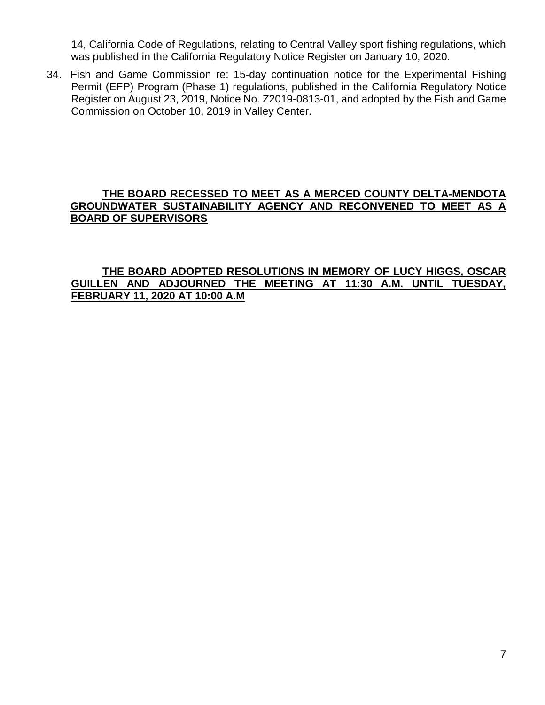14, California Code of Regulations, relating to Central Valley sport fishing regulations, which was published in the California Regulatory Notice Register on January 10, 2020.

34. Fish and Game Commission re: 15-day continuation notice for the Experimental Fishing Permit (EFP) Program (Phase 1) regulations, published in the California Regulatory Notice Register on August 23, 2019, Notice No. Z2019-0813-01, and adopted by the Fish and Game Commission on October 10, 2019 in Valley Center.

### **THE BOARD RECESSED TO MEET AS A MERCED COUNTY DELTA-MENDOTA GROUNDWATER SUSTAINABILITY AGENCY AND RECONVENED TO MEET AS A BOARD OF SUPERVISORS**

### **THE BOARD ADOPTED RESOLUTIONS IN MEMORY OF LUCY HIGGS, OSCAR GUILLEN AND ADJOURNED THE MEETING AT 11:30 A.M. UNTIL TUESDAY, FEBRUARY 11, 2020 AT 10:00 A.M**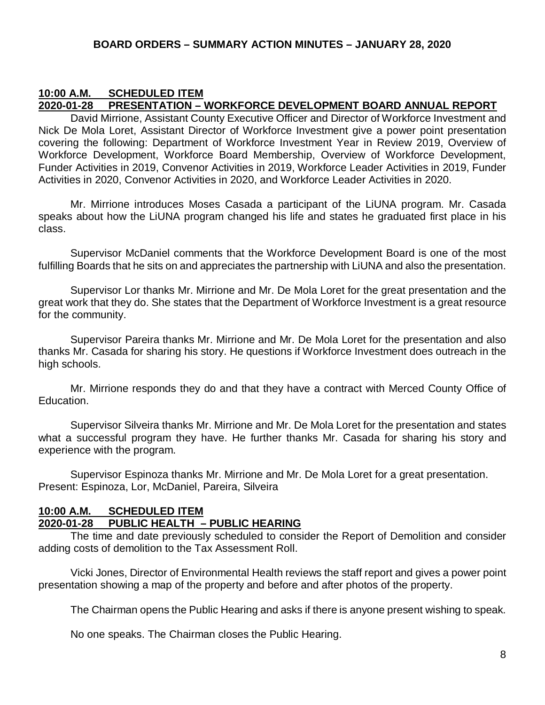#### **10:00 A.M. SCHEDULED ITEM 2020-01-28 PRESENTATION – WORKFORCE DEVELOPMENT BOARD ANNUAL REPORT**

David Mirrione, Assistant County Executive Officer and Director of Workforce Investment and Nick De Mola Loret, Assistant Director of Workforce Investment give a power point presentation covering the following: Department of Workforce Investment Year in Review 2019, Overview of Workforce Development, Workforce Board Membership, Overview of Workforce Development, Funder Activities in 2019, Convenor Activities in 2019, Workforce Leader Activities in 2019, Funder Activities in 2020, Convenor Activities in 2020, and Workforce Leader Activities in 2020.

Mr. Mirrione introduces Moses Casada a participant of the LiUNA program. Mr. Casada speaks about how the LiUNA program changed his life and states he graduated first place in his class.

Supervisor McDaniel comments that the Workforce Development Board is one of the most fulfilling Boards that he sits on and appreciates the partnership with LiUNA and also the presentation.

Supervisor Lor thanks Mr. Mirrione and Mr. De Mola Loret for the great presentation and the great work that they do. She states that the Department of Workforce Investment is a great resource for the community.

Supervisor Pareira thanks Mr. Mirrione and Mr. De Mola Loret for the presentation and also thanks Mr. Casada for sharing his story. He questions if Workforce Investment does outreach in the high schools.

Mr. Mirrione responds they do and that they have a contract with Merced County Office of Education.

Supervisor Silveira thanks Mr. Mirrione and Mr. De Mola Loret for the presentation and states what a successful program they have. He further thanks Mr. Casada for sharing his story and experience with the program.

Supervisor Espinoza thanks Mr. Mirrione and Mr. De Mola Loret for a great presentation. Present: Espinoza, Lor, McDaniel, Pareira, Silveira

### **10:00 A.M. SCHEDULED ITEM 2020-01-28 PUBLIC HEALTH – PUBLIC HEARING**

The time and date previously scheduled to consider the Report of Demolition and consider adding costs of demolition to the Tax Assessment Roll.

Vicki Jones, Director of Environmental Health reviews the staff report and gives a power point presentation showing a map of the property and before and after photos of the property.

The Chairman opens the Public Hearing and asks if there is anyone present wishing to speak.

No one speaks. The Chairman closes the Public Hearing.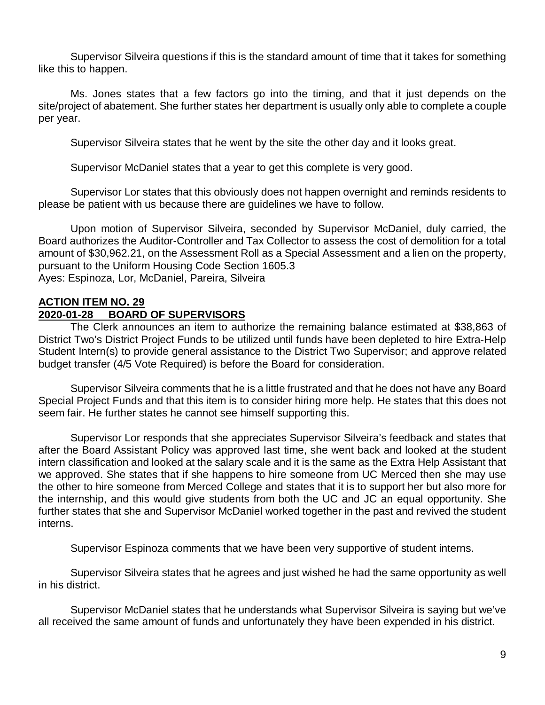Supervisor Silveira questions if this is the standard amount of time that it takes for something like this to happen.

Ms. Jones states that a few factors go into the timing, and that it just depends on the site/project of abatement. She further states her department is usually only able to complete a couple per year.

Supervisor Silveira states that he went by the site the other day and it looks great.

Supervisor McDaniel states that a year to get this complete is very good.

Supervisor Lor states that this obviously does not happen overnight and reminds residents to please be patient with us because there are guidelines we have to follow.

Upon motion of Supervisor Silveira, seconded by Supervisor McDaniel, duly carried, the Board authorizes the Auditor-Controller and Tax Collector to assess the cost of demolition for a total amount of \$30,962.21, on the Assessment Roll as a Special Assessment and a lien on the property, pursuant to the Uniform Housing Code Section 1605.3 Ayes: Espinoza, Lor, McDaniel, Pareira, Silveira

# **ACTION ITEM NO. 29**

## **2020-01-28 BOARD OF SUPERVISORS**

The Clerk announces an item to authorize the remaining balance estimated at \$38,863 of District Two's District Project Funds to be utilized until funds have been depleted to hire Extra-Help Student Intern(s) to provide general assistance to the District Two Supervisor; and approve related budget transfer (4/5 Vote Required) is before the Board for consideration.

Supervisor Silveira comments that he is a little frustrated and that he does not have any Board Special Project Funds and that this item is to consider hiring more help. He states that this does not seem fair. He further states he cannot see himself supporting this.

Supervisor Lor responds that she appreciates Supervisor Silveira's feedback and states that after the Board Assistant Policy was approved last time, she went back and looked at the student intern classification and looked at the salary scale and it is the same as the Extra Help Assistant that we approved. She states that if she happens to hire someone from UC Merced then she may use the other to hire someone from Merced College and states that it is to support her but also more for the internship, and this would give students from both the UC and JC an equal opportunity. She further states that she and Supervisor McDaniel worked together in the past and revived the student interns.

Supervisor Espinoza comments that we have been very supportive of student interns.

Supervisor Silveira states that he agrees and just wished he had the same opportunity as well in his district.

Supervisor McDaniel states that he understands what Supervisor Silveira is saying but we've all received the same amount of funds and unfortunately they have been expended in his district.